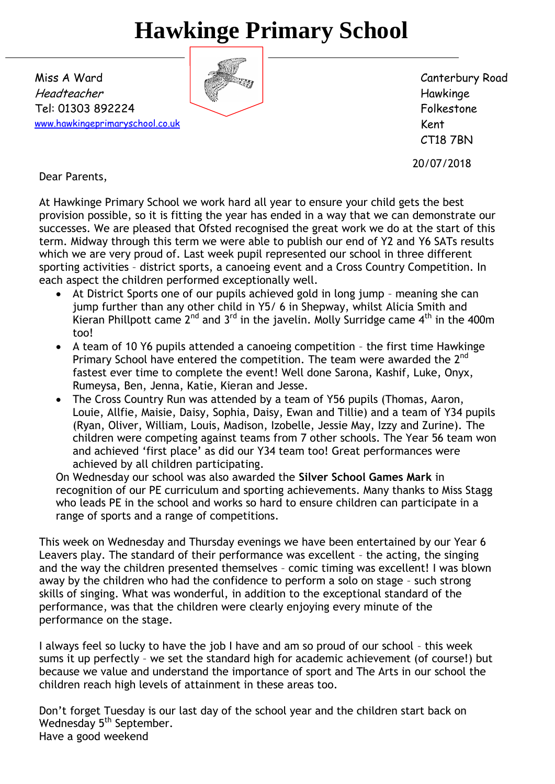# **Hawkinge Primary School**

Miss A Ward Headteacher Tel: 01303 892224 [www.hawkingeprimaryschool.co.uk](http://www.hawkingeprimaryschool.co.uk/)

Canterbury Road Hawkinge Folkestone Kent CT18 7BN

20/07/2018

Dear Parents,

At Hawkinge Primary School we work hard all year to ensure your child gets the best provision possible, so it is fitting the year has ended in a way that we can demonstrate our successes. We are pleased that Ofsted recognised the great work we do at the start of this term. Midway through this term we were able to publish our end of Y2 and Y6 SATs results which we are very proud of. Last week pupil represented our school in three different sporting activities – district sports, a canoeing event and a Cross Country Competition. In each aspect the children performed exceptionally well.

- At District Sports one of our pupils achieved gold in long jump meaning she can jump further than any other child in Y5/ 6 in Shepway, whilst Alicia Smith and Kieran Phillpott came  $2^{nd}$  and  $3^{rd}$  in the javelin. Molly Surridge came  $4^{th}$  in the 400m too!
- A team of 10 Y6 pupils attended a canoeing competition the first time Hawkinge Primary School have entered the competition. The team were awarded the  $2^{nd}$ fastest ever time to complete the event! Well done Sarona, Kashif, Luke, Onyx, Rumeysa, Ben, Jenna, Katie, Kieran and Jesse.
- The Cross Country Run was attended by a team of Y56 pupils (Thomas, Aaron, Louie, Allfie, Maisie, Daisy, Sophia, Daisy, Ewan and Tillie) and a team of Y34 pupils (Ryan, Oliver, William, Louis, Madison, Izobelle, Jessie May, Izzy and Zurine). The children were competing against teams from 7 other schools. The Year 56 team won and achieved 'first place' as did our Y34 team too! Great performances were achieved by all children participating.

On Wednesday our school was also awarded the **Silver School Games Mark** in recognition of our PE curriculum and sporting achievements. Many thanks to Miss Stagg who leads PE in the school and works so hard to ensure children can participate in a range of sports and a range of competitions.

This week on Wednesday and Thursday evenings we have been entertained by our Year 6 Leavers play. The standard of their performance was excellent – the acting, the singing and the way the children presented themselves – comic timing was excellent! I was blown away by the children who had the confidence to perform a solo on stage – such strong skills of singing. What was wonderful, in addition to the exceptional standard of the performance, was that the children were clearly enjoying every minute of the performance on the stage.

I always feel so lucky to have the job I have and am so proud of our school – this week sums it up perfectly – we set the standard high for academic achievement (of course!) but because we value and understand the importance of sport and The Arts in our school the children reach high levels of attainment in these areas too.

Don't forget Tuesday is our last day of the school year and the children start back on Wednesday 5<sup>th</sup> September. Have a good weekend